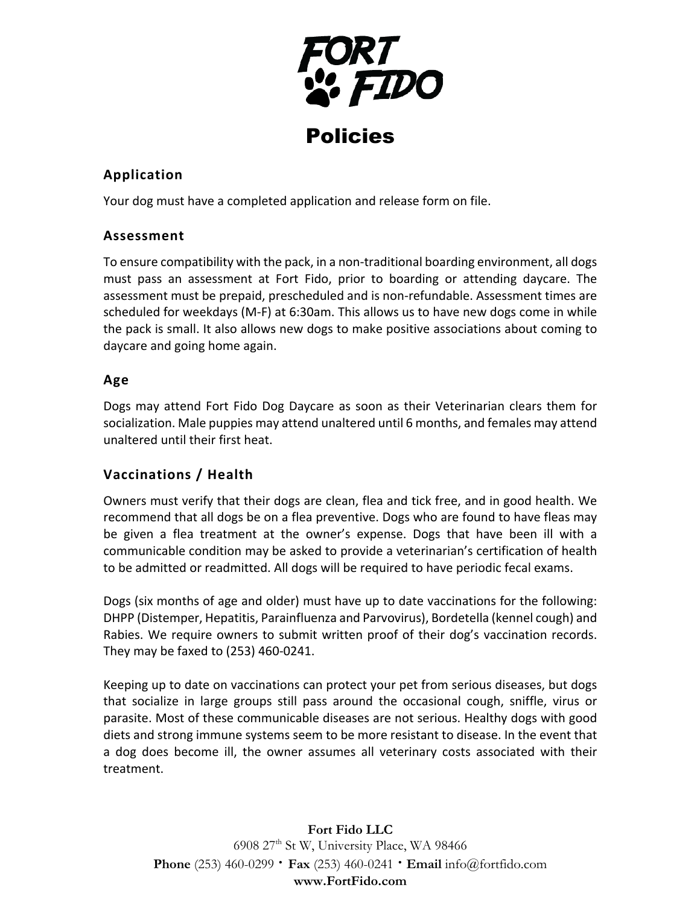

## **Application**

Your dog must have a completed application and release form on file.

## **Assessment**

To ensure compatibility with the pack, in a non-traditional boarding environment, all dogs must pass an assessment at Fort Fido, prior to boarding or attending daycare. The assessment must be prepaid, prescheduled and is non-refundable. Assessment times are scheduled for weekdays (M-F) at 6:30am. This allows us to have new dogs come in while the pack is small. It also allows new dogs to make positive associations about coming to daycare and going home again.

## **Age**

Dogs may attend Fort Fido Dog Daycare as soon as their Veterinarian clears them for socialization. Male puppies may attend unaltered until 6 months, and females may attend unaltered until their first heat.

# **Vaccinations / Health**

Owners must verify that their dogs are clean, flea and tick free, and in good health. We recommend that all dogs be on a flea preventive. Dogs who are found to have fleas may be given a flea treatment at the owner's expense. Dogs that have been ill with a communicable condition may be asked to provide a veterinarian's certification of health to be admitted or readmitted. All dogs will be required to have periodic fecal exams.

Dogs (six months of age and older) must have up to date vaccinations for the following: DHPP (Distemper, Hepatitis, Parainfluenza and Parvovirus), Bordetella (kennel cough) and Rabies. We require owners to submit written proof of their dog's vaccination records. They may be faxed to (253) 460-0241.

Keeping up to date on vaccinations can protect your pet from serious diseases, but dogs that socialize in large groups still pass around the occasional cough, sniffle, virus or parasite. Most of these communicable diseases are not serious. Healthy dogs with good diets and strong immune systems seem to be more resistant to disease. In the event that a dog does become ill, the owner assumes all veterinary costs associated with their treatment.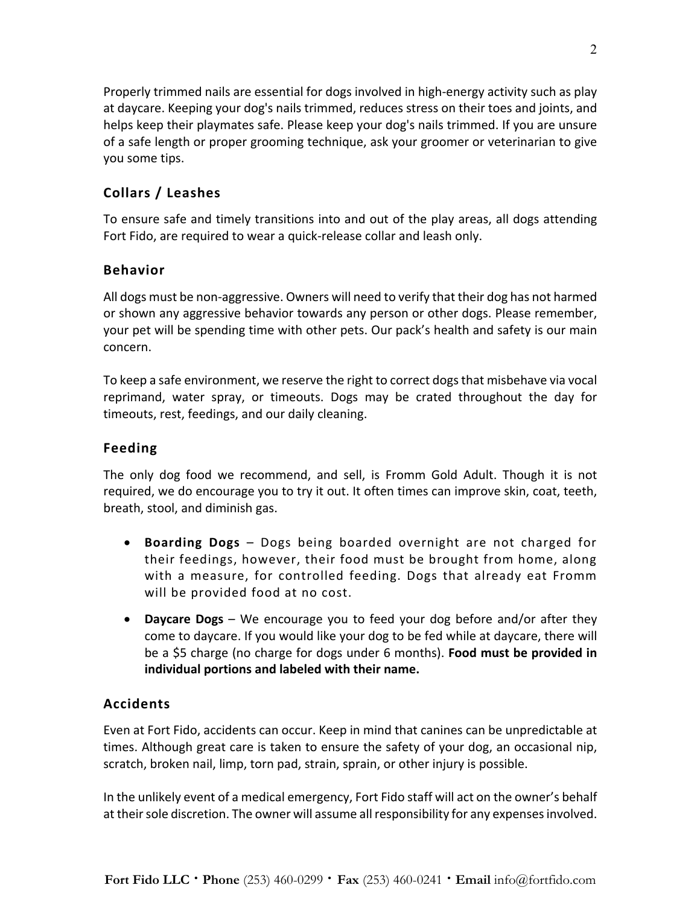Properly trimmed nails are essential for dogs involved in high-energy activity such as play at daycare. Keeping your dog's nails trimmed, reduces stress on their toes and joints, and helps keep their playmates safe. Please keep your dog's nails trimmed. If you are unsure of a safe length or proper grooming technique, ask your groomer or veterinarian to give you some tips.

## **Collars / Leashes**

To ensure safe and timely transitions into and out of the play areas, all dogs attending Fort Fido, are required to wear a quick-release collar and leash only.

## **Behavior**

All dogs must be non-aggressive. Owners will need to verify that their dog has not harmed or shown any aggressive behavior towards any person or other dogs. Please remember, your pet will be spending time with other pets. Our pack's health and safety is our main concern.

To keep a safe environment, we reserve the right to correct dogs that misbehave via vocal reprimand, water spray, or timeouts. Dogs may be crated throughout the day for timeouts, rest, feedings, and our daily cleaning.

## **Feeding**

The only dog food we recommend, and sell, is Fromm Gold Adult. Though it is not required, we do encourage you to try it out. It often times can improve skin, coat, teeth, breath, stool, and diminish gas.

- **Boarding Dogs**  Dogs being boarded overnight are not charged for their feedings, however, their food must be brought from home, along with a measure, for controlled feeding. Dogs that already eat Fromm will be provided food at no cost.
- **Daycare Dogs**  We encourage you to feed your dog before and/or after they come to daycare. If you would like your dog to be fed while at daycare, there will be a \$5 charge (no charge for dogs under 6 months). **Food must be provided in individual portions and labeled with their name.**

### **Accidents**

Even at Fort Fido, accidents can occur. Keep in mind that canines can be unpredictable at times. Although great care is taken to ensure the safety of your dog, an occasional nip, scratch, broken nail, limp, torn pad, strain, sprain, or other injury is possible.

In the unlikely event of a medical emergency, Fort Fido staff will act on the owner's behalf at their sole discretion. The owner will assume all responsibility for any expenses involved.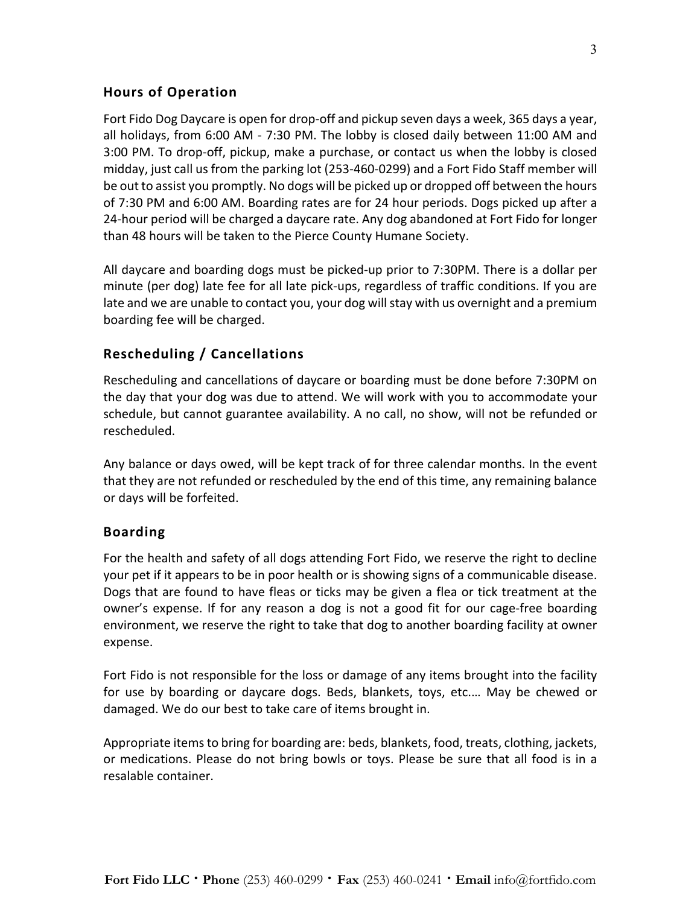## **Hours of Operation**

Fort Fido Dog Daycare is open for drop-off and pickup seven days a week, 365 days a year, all holidays, from 6:00 AM - 7:30 PM. The lobby is closed daily between 11:00 AM and 3:00 PM. To drop-off, pickup, make a purchase, or contact us when the lobby is closed midday, just call us from the parking lot (253-460-0299) and a Fort Fido Staff member will be out to assist you promptly. No dogs will be picked up or dropped off between the hours of 7:30 PM and 6:00 AM. Boarding rates are for 24 hour periods. Dogs picked up after a 24-hour period will be charged a daycare rate. Any dog abandoned at Fort Fido for longer than 48 hours will be taken to the Pierce County Humane Society.

All daycare and boarding dogs must be picked-up prior to 7:30PM. There is a dollar per minute (per dog) late fee for all late pick-ups, regardless of traffic conditions. If you are late and we are unable to contact you, your dog will stay with us overnight and a premium boarding fee will be charged.

## **Rescheduling / Cancellations**

Rescheduling and cancellations of daycare or boarding must be done before 7:30PM on the day that your dog was due to attend. We will work with you to accommodate your schedule, but cannot guarantee availability. A no call, no show, will not be refunded or rescheduled.

Any balance or days owed, will be kept track of for three calendar months. In the event that they are not refunded or rescheduled by the end of this time, any remaining balance or days will be forfeited.

#### **Boarding**

For the health and safety of all dogs attending Fort Fido, we reserve the right to decline your pet if it appears to be in poor health or is showing signs of a communicable disease. Dogs that are found to have fleas or ticks may be given a flea or tick treatment at the owner's expense. If for any reason a dog is not a good fit for our cage-free boarding environment, we reserve the right to take that dog to another boarding facility at owner expense.

Fort Fido is not responsible for the loss or damage of any items brought into the facility for use by boarding or daycare dogs. Beds, blankets, toys, etc.… May be chewed or damaged. We do our best to take care of items brought in.

Appropriate items to bring for boarding are: beds, blankets, food, treats, clothing, jackets, or medications. Please do not bring bowls or toys. Please be sure that all food is in a resalable container.